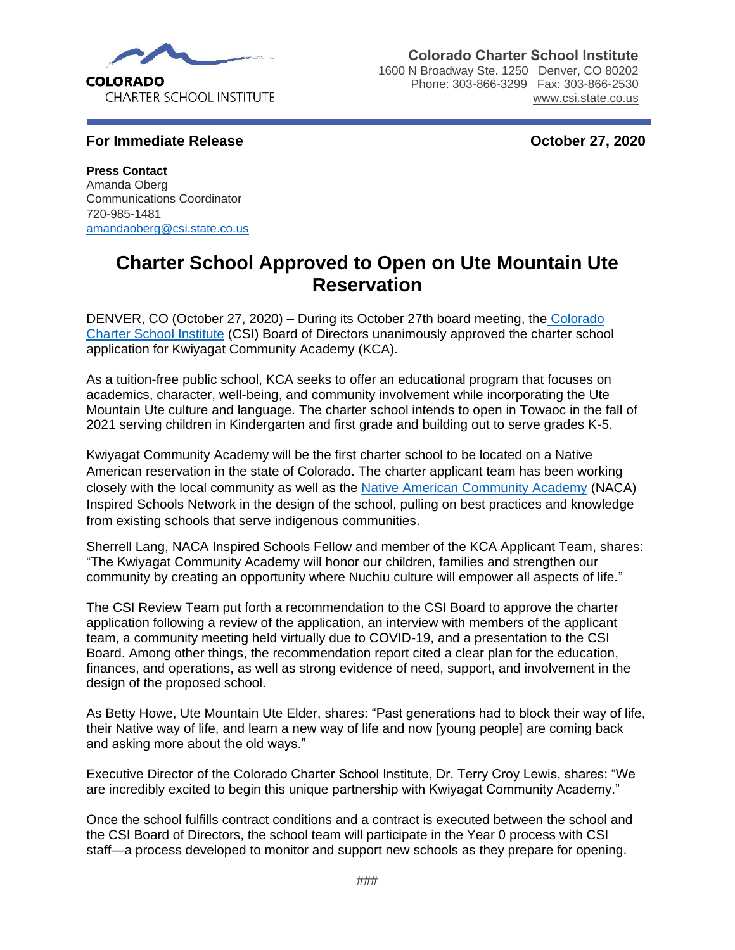

**Colorado Charter School Institute**

1600 N Broadway Ste. 1250 Denver, CO 80202 Phone: 303-866-3299 Fax: 303-866-2530 [www.csi.state.co.us](http://www.csi.state.co.us/)

**For Immediate Release Contract Contract Contract Contract Contract Contract Contract Contract Contract Contract Contract Contract Contract Contract Contract Contract Contract Contract Contract Contract Contract Contract C** 

**Press Contact** Amanda Oberg Communications Coordinator 720-985-1481 [amandaoberg@csi.state.co.us](mailto:amandaoberg@csi.state.co.us) 

## **Charter School Approved to Open on Ute Mountain Ute Reservation**

DENVER, CO (October 27, 2020) – During its October 27th board meeting, the [Colorado](https://www.csi.state.co.us/)  [Charter School Institute](https://www.csi.state.co.us/) (CSI) Board of Directors unanimously approved the charter school application for Kwiyagat Community Academy (KCA).

As a tuition-free public school, KCA seeks to offer an educational program that focuses on academics, character, well-being, and community involvement while incorporating the Ute Mountain Ute culture and language. The charter school intends to open in Towaoc in the fall of 2021 serving children in Kindergarten and first grade and building out to serve grades K-5.

Kwiyagat Community Academy will be the first charter school to be located on a Native American reservation in the state of Colorado. The charter applicant team has been working closely with the local community as well as the [Native American Community Academy](http://www.nacainspiredschoolsnetwork.org/) (NACA) Inspired Schools Network in the design of the school, pulling on best practices and knowledge from existing schools that serve indigenous communities.

Sherrell Lang, NACA Inspired Schools Fellow and member of the KCA Applicant Team, shares: "The Kwiyagat Community Academy will honor our children, families and strengthen our community by creating an opportunity where Nuchiu culture will empower all aspects of life."

The CSI Review Team put forth a recommendation to the CSI Board to approve the charter application following a review of the application, an interview with members of the applicant team, a community meeting held virtually due to COVID-19, and a presentation to the CSI Board. Among other things, the recommendation report cited a clear plan for the education, finances, and operations, as well as strong evidence of need, support, and involvement in the design of the proposed school.

As Betty Howe, Ute Mountain Ute Elder, shares: "Past generations had to block their way of life, their Native way of life, and learn a new way of life and now [young people] are coming back and asking more about the old ways."

Executive Director of the Colorado Charter School Institute, Dr. Terry Croy Lewis, shares: "We are incredibly excited to begin this unique partnership with Kwiyagat Community Academy."

Once the school fulfills contract conditions and a contract is executed between the school and the CSI Board of Directors, the school team will participate in the Year 0 process with CSI staff—a process developed to monitor and support new schools as they prepare for opening.